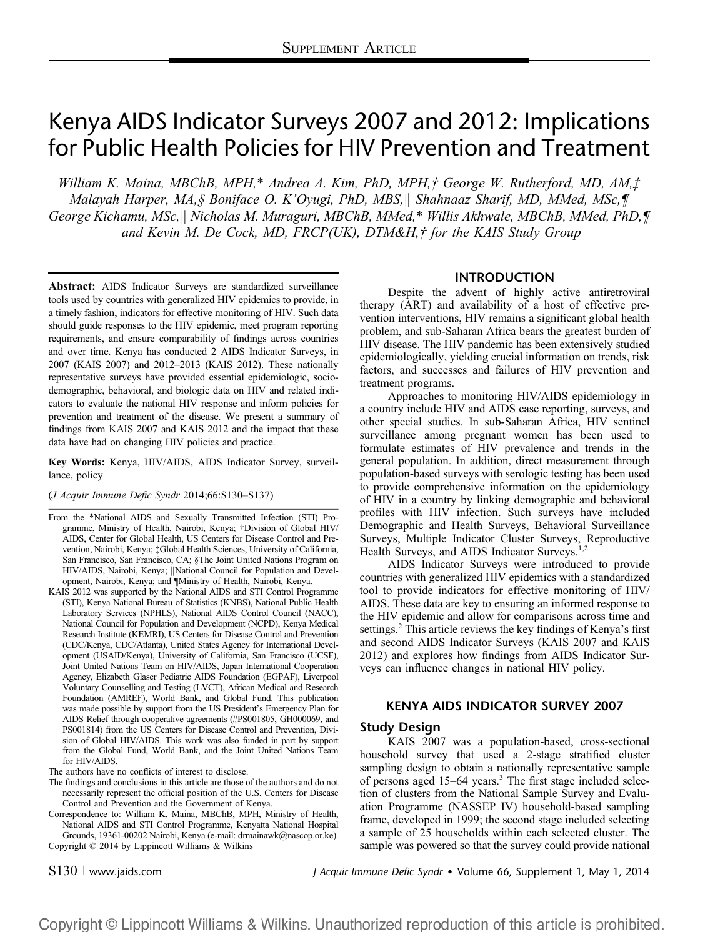# Kenya AIDS Indicator Surveys 2007 and 2012: Implications for Public Health Policies for HIV Prevention and Treatment

William K. Maina, MBChB, MPH,\* Andrea A. Kim, PhD, MPH,† George W. Rutherford, MD, AM,‡ Malayah Harper, MA, § Boniface O. K'Oyugi, PhD, MBS, || Shahnaaz Sharif, MD, MMed, MSc,  $\P$ George Kichamu, MSc, || Nicholas M. Muraguri, MBChB, MMed,\* Willis Akhwale, MBChB, MMed, PhD,¶ and Kevin M. De Cock, MD, FRCP(UK), DTM&H,† for the KAIS Study Group

Abstract: AIDS Indicator Surveys are standardized surveillance tools used by countries with generalized HIV epidemics to provide, in a timely fashion, indicators for effective monitoring of HIV. Such data should guide responses to the HIV epidemic, meet program reporting requirements, and ensure comparability of findings across countries and over time. Kenya has conducted 2 AIDS Indicator Surveys, in 2007 (KAIS 2007) and 2012–2013 (KAIS 2012). These nationally representative surveys have provided essential epidemiologic, sociodemographic, behavioral, and biologic data on HIV and related indicators to evaluate the national HIV response and inform policies for prevention and treatment of the disease. We present a summary of findings from KAIS 2007 and KAIS 2012 and the impact that these data have had on changing HIV policies and practice.

Key Words: Kenya, HIV/AIDS, AIDS Indicator Survey, surveillance, policy

(J Acquir Immune Defic Syndr 2014;66:S130–S137)

- From the \*National AIDS and Sexually Transmitted Infection (STI) Programme, Ministry of Health, Nairobi, Kenya; †Division of Global HIV/ AIDS, Center for Global Health, US Centers for Disease Control and Prevention, Nairobi, Kenya; ‡Global Health Sciences, University of California, San Francisco, San Francisco, CA; §The Joint United Nations Program on HIV/AIDS, Nairobi, Kenya; ||National Council for Population and Development, Nairobi, Kenya; and ¶Ministry of Health, Nairobi, Kenya.
- KAIS 2012 was supported by the National AIDS and STI Control Programme (STI), Kenya National Bureau of Statistics (KNBS), National Public Health Laboratory Services (NPHLS), National AIDS Control Council (NACC), National Council for Population and Development (NCPD), Kenya Medical Research Institute (KEMRI), US Centers for Disease Control and Prevention (CDC/Kenya, CDC/Atlanta), United States Agency for International Development (USAID/Kenya), University of California, San Francisco (UCSF), Joint United Nations Team on HIV/AIDS, Japan International Cooperation Agency, Elizabeth Glaser Pediatric AIDS Foundation (EGPAF), Liverpool Voluntary Counselling and Testing (LVCT), African Medical and Research Foundation (AMREF), World Bank, and Global Fund. This publication was made possible by support from the US President's Emergency Plan for AIDS Relief through cooperative agreements (#PS001805, GH000069, and PS001814) from the US Centers for Disease Control and Prevention, Division of Global HIV/AIDS. This work was also funded in part by support from the Global Fund, World Bank, and the Joint United Nations Team for HIV/AIDS.
- The authors have no conflicts of interest to disclose.
- The findings and conclusions in this article are those of the authors and do not necessarily represent the official position of the U.S. Centers for Disease Control and Prevention and the Government of Kenya.
- Correspondence to: William K. Maina, MBChB, MPH, Ministry of Health, National AIDS and STI Control Programme, Kenyatta National Hospital Grounds, 19361-00202 Nairobi, Kenya (e-mail: drmainawk@nascop.or.ke). Copyright © 2014 by Lippincott Williams & Wilkins

# INTRODUCTION

Despite the advent of highly active antiretroviral therapy (ART) and availability of a host of effective prevention interventions, HIV remains a significant global health problem, and sub-Saharan Africa bears the greatest burden of HIV disease. The HIV pandemic has been extensively studied epidemiologically, yielding crucial information on trends, risk factors, and successes and failures of HIV prevention and treatment programs.

Approaches to monitoring HIV/AIDS epidemiology in a country include HIV and AIDS case reporting, surveys, and other special studies. In sub-Saharan Africa, HIV sentinel surveillance among pregnant women has been used to formulate estimates of HIV prevalence and trends in the general population. In addition, direct measurement through population-based surveys with serologic testing has been used to provide comprehensive information on the epidemiology of HIV in a country by linking demographic and behavioral profiles with HIV infection. Such surveys have included Demographic and Health Surveys, Behavioral Surveillance Surveys, Multiple Indicator Cluster Surveys, Reproductive Health Surveys, and AIDS Indicator Surveys.<sup>1,2</sup>

AIDS Indicator Surveys were introduced to provide countries with generalized HIV epidemics with a standardized tool to provide indicators for effective monitoring of HIV/ AIDS. These data are key to ensuring an informed response to the HIV epidemic and allow for comparisons across time and settings.<sup>2</sup> This article reviews the key findings of Kenya's first and second AIDS Indicator Surveys (KAIS 2007 and KAIS 2012) and explores how findings from AIDS Indicator Surveys can influence changes in national HIV policy.

# KENYA AIDS INDICATOR SURVEY 2007

# Study Design

KAIS 2007 was a population-based, cross-sectional household survey that used a 2-stage stratified cluster sampling design to obtain a nationally representative sample of persons aged 15–64 years.<sup>3</sup> The first stage included selection of clusters from the National Sample Survey and Evaluation Programme (NASSEP IV) household-based sampling frame, developed in 1999; the second stage included selecting a sample of 25 households within each selected cluster. The sample was powered so that the survey could provide national

S130 <sup>|</sup> www.jaids.com J Acquir Immune Defic Syndr - Volume 66, Supplement 1, May 1, 2014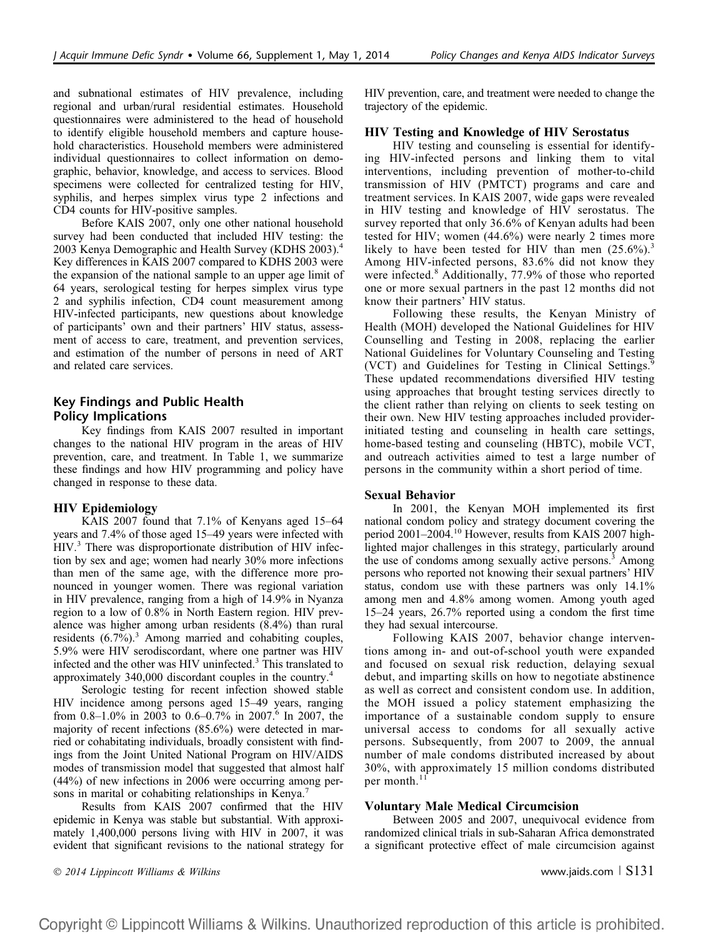and subnational estimates of HIV prevalence, including regional and urban/rural residential estimates. Household questionnaires were administered to the head of household to identify eligible household members and capture household characteristics. Household members were administered individual questionnaires to collect information on demographic, behavior, knowledge, and access to services. Blood specimens were collected for centralized testing for HIV, syphilis, and herpes simplex virus type 2 infections and CD4 counts for HIV-positive samples.

Before KAIS 2007, only one other national household survey had been conducted that included HIV testing: the 2003 Kenya Demographic and Health Survey (KDHS 2003).<sup>4</sup> Key differences in KAIS 2007 compared to KDHS 2003 were the expansion of the national sample to an upper age limit of 64 years, serological testing for herpes simplex virus type 2 and syphilis infection, CD4 count measurement among HIV-infected participants, new questions about knowledge of participants' own and their partners' HIV status, assessment of access to care, treatment, and prevention services, and estimation of the number of persons in need of ART and related care services.

# Key Findings and Public Health Policy Implications

Key findings from KAIS 2007 resulted in important changes to the national HIV program in the areas of HIV prevention, care, and treatment. In Table 1, we summarize these findings and how HIV programming and policy have changed in response to these data.

# HIV Epidemiology

KAIS 2007 found that 7.1% of Kenyans aged 15–64 years and 7.4% of those aged 15–49 years were infected with HIV.<sup>3</sup> There was disproportionate distribution of HIV infection by sex and age; women had nearly 30% more infections than men of the same age, with the difference more pronounced in younger women. There was regional variation in HIV prevalence, ranging from a high of 14.9% in Nyanza region to a low of 0.8% in North Eastern region. HIV prevalence was higher among urban residents (8.4%) than rural residents  $(6.7\%)$ .<sup>3</sup> Among married and cohabiting couples, 5.9% were HIV serodiscordant, where one partner was HIV infected and the other was HIV uninfected.<sup>3</sup> This translated to approximately 340,000 discordant couples in the country.<sup>4</sup>

Serologic testing for recent infection showed stable HIV incidence among persons aged 15–49 years, ranging from 0.8-1.0% in 2003 to 0.6-0.7% in 2007.<sup>6</sup> In 2007, the majority of recent infections (85.6%) were detected in married or cohabitating individuals, broadly consistent with findings from the Joint United National Program on HIV/AIDS modes of transmission model that suggested that almost half (44%) of new infections in 2006 were occurring among persons in marital or cohabiting relationships in Kenya.<sup>7</sup>

Results from KAIS 2007 confirmed that the HIV epidemic in Kenya was stable but substantial. With approximately 1,400,000 persons living with HIV in 2007, it was evident that significant revisions to the national strategy for HIV prevention, care, and treatment were needed to change the trajectory of the epidemic.

## HIV Testing and Knowledge of HIV Serostatus

HIV testing and counseling is essential for identifying HIV-infected persons and linking them to vital interventions, including prevention of mother-to-child transmission of HIV (PMTCT) programs and care and treatment services. In KAIS 2007, wide gaps were revealed in HIV testing and knowledge of HIV serostatus. The survey reported that only 36.6% of Kenyan adults had been tested for HIV; women (44.6%) were nearly 2 times more likely to have been tested for HIV than men  $(25.6\%)$ .<sup>3</sup> Among HIV-infected persons, 83.6% did not know they were infected.<sup>8</sup> Additionally, 77.9% of those who reported one or more sexual partners in the past 12 months did not know their partners' HIV status.

Following these results, the Kenyan Ministry of Health (MOH) developed the National Guidelines for HIV Counselling and Testing in 2008, replacing the earlier National Guidelines for Voluntary Counseling and Testing (VCT) and Guidelines for Testing in Clinical Settings.<sup>9</sup> These updated recommendations diversified HIV testing using approaches that brought testing services directly to the client rather than relying on clients to seek testing on their own. New HIV testing approaches included providerinitiated testing and counseling in health care settings, home-based testing and counseling (HBTC), mobile VCT, and outreach activities aimed to test a large number of persons in the community within a short period of time.

## Sexual Behavior

In 2001, the Kenyan MOH implemented its first national condom policy and strategy document covering the period 2001–2004.<sup>10</sup> However, results from KAIS 2007 highlighted major challenges in this strategy, particularly around the use of condoms among sexually active persons.<sup>3</sup> Among persons who reported not knowing their sexual partners' HIV status, condom use with these partners was only 14.1% among men and 4.8% among women. Among youth aged 15–24 years, 26.7% reported using a condom the first time they had sexual intercourse.

Following KAIS 2007, behavior change interventions among in- and out-of-school youth were expanded and focused on sexual risk reduction, delaying sexual debut, and imparting skills on how to negotiate abstinence as well as correct and consistent condom use. In addition, the MOH issued a policy statement emphasizing the importance of a sustainable condom supply to ensure universal access to condoms for all sexually active persons. Subsequently, from 2007 to 2009, the annual number of male condoms distributed increased by about 30%, with approximately 15 million condoms distributed per month.<sup>11</sup>

## Voluntary Male Medical Circumcision

Between 2005 and 2007, unequivocal evidence from randomized clinical trials in sub-Saharan Africa demonstrated a significant protective effect of male circumcision against

 $\degree$  2014 Lippincott Williams & Wilkins www.jaids.com  $\degree$  S131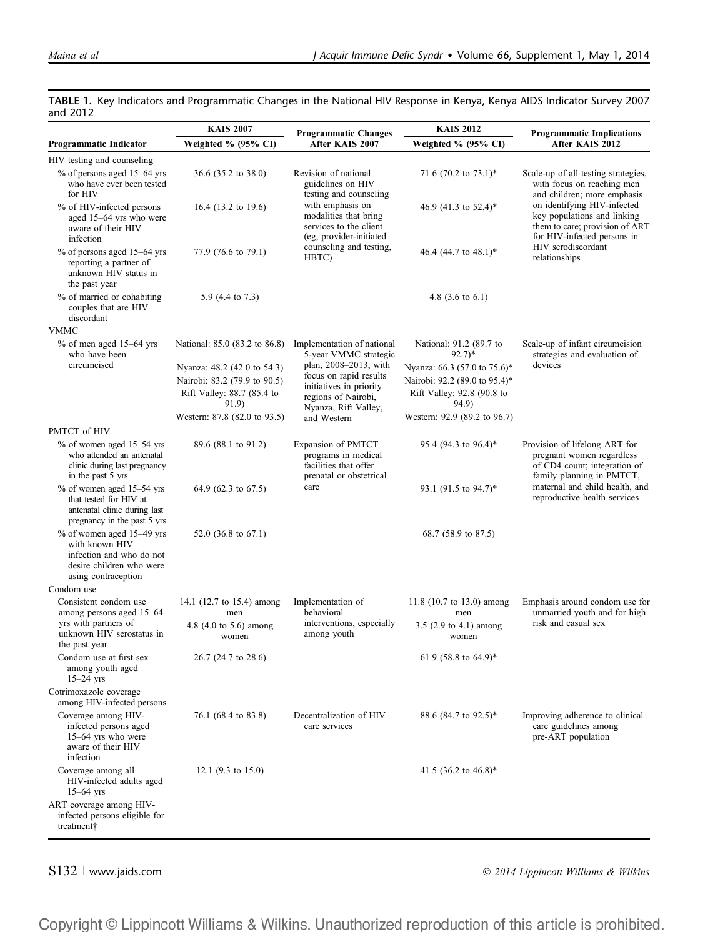|                                                                                                                            | <b>KAIS 2007</b>                                                                                                                                                    |                                                                                                                                                                                                 | <b>KAIS 2012</b>                                                                                                                                                                       |                                                                                                                             |  |
|----------------------------------------------------------------------------------------------------------------------------|---------------------------------------------------------------------------------------------------------------------------------------------------------------------|-------------------------------------------------------------------------------------------------------------------------------------------------------------------------------------------------|----------------------------------------------------------------------------------------------------------------------------------------------------------------------------------------|-----------------------------------------------------------------------------------------------------------------------------|--|
| Programmatic Indicator                                                                                                     |                                                                                                                                                                     | <b>Programmatic Changes</b>                                                                                                                                                                     |                                                                                                                                                                                        | <b>Programmatic Implications</b><br>After KAIS 2012                                                                         |  |
|                                                                                                                            | Weighted % (95% CI)                                                                                                                                                 | After KAIS 2007                                                                                                                                                                                 | Weighted % (95% CI)                                                                                                                                                                    |                                                                                                                             |  |
| HIV testing and counseling                                                                                                 |                                                                                                                                                                     |                                                                                                                                                                                                 |                                                                                                                                                                                        |                                                                                                                             |  |
| % of persons aged 15–64 yrs<br>who have ever been tested<br>for HIV                                                        | 36.6 (35.2 to 38.0)                                                                                                                                                 | Revision of national<br>guidelines on HIV<br>testing and counseling                                                                                                                             | 71.6 (70.2 to 73.1)*                                                                                                                                                                   | Scale-up of all testing strategies,<br>with focus on reaching men<br>and children; more emphasis                            |  |
| % of HIV-infected persons<br>aged 15–64 yrs who were<br>aware of their HIV<br>infection                                    | 16.4 $(13.2 \text{ to } 19.6)$                                                                                                                                      | with emphasis on<br>modalities that bring<br>services to the client<br>(eg. provider-initiated                                                                                                  | 46.9 (41.3 to 52.4)*                                                                                                                                                                   | on identifying HIV-infected<br>key populations and linking<br>them to care; provision of ART<br>for HIV-infected persons in |  |
| % of persons aged 15–64 yrs<br>reporting a partner of<br>unknown HIV status in<br>the past year                            | 77.9 (76.6 to 79.1)                                                                                                                                                 | counseling and testing,<br>HBTC)                                                                                                                                                                | 46.4 (44.7 to 48.1)*                                                                                                                                                                   | HIV serodiscordant<br>relationships                                                                                         |  |
| % of married or cohabiting<br>couples that are HIV<br>discordant                                                           | 5.9 (4.4 to 7.3)                                                                                                                                                    |                                                                                                                                                                                                 | 4.8 $(3.6 \text{ to } 6.1)$                                                                                                                                                            |                                                                                                                             |  |
| <b>VMMC</b>                                                                                                                |                                                                                                                                                                     |                                                                                                                                                                                                 |                                                                                                                                                                                        |                                                                                                                             |  |
| $%$ of men aged 15–64 yrs<br>who have been<br>circumcised                                                                  | National: 85.0 (83.2 to 86.8)<br>Nyanza: 48.2 (42.0 to 54.3)<br>Nairobi: 83.2 (79.9 to 90.5)<br>Rift Valley: 88.7 (85.4 to<br>91.9)<br>Western: 87.8 (82.0 to 93.5) | Implementation of national<br>5-year VMMC strategic<br>plan, 2008-2013, with<br>focus on rapid results<br>initiatives in priority<br>regions of Nairobi,<br>Nyanza, Rift Valley,<br>and Western | National: 91.2 (89.7 to<br>$92.7$ <sup>*</sup><br>Nyanza: 66.3 (57.0 to 75.6)*<br>Nairobi: 92.2 (89.0 to 95.4)*<br>Rift Valley: 92.8 (90.8 to<br>94.9)<br>Western: 92.9 (89.2 to 96.7) | Scale-up of infant circumcision<br>strategies and evaluation of<br>devices                                                  |  |
| PMTCT of HIV                                                                                                               |                                                                                                                                                                     |                                                                                                                                                                                                 |                                                                                                                                                                                        |                                                                                                                             |  |
| % of women aged 15–54 yrs<br>who attended an antenatal<br>clinic during last pregnancy<br>in the past 5 yrs                | 89.6 (88.1 to 91.2)                                                                                                                                                 | Expansion of PMTCT<br>programs in medical<br>facilities that offer<br>prenatal or obstetrical                                                                                                   | 95.4 (94.3 to 96.4)*                                                                                                                                                                   | Provision of lifelong ART for<br>pregnant women regardless<br>of CD4 count; integration of<br>family planning in PMTCT,     |  |
| % of women aged 15-54 yrs<br>that tested for HIV at<br>antenatal clinic during last<br>pregnancy in the past 5 yrs         | 64.9 (62.3 to 67.5)                                                                                                                                                 | care                                                                                                                                                                                            | 93.1 (91.5 to 94.7)*                                                                                                                                                                   | maternal and child health, and<br>reproductive health services                                                              |  |
| % of women aged 15–49 yrs<br>with known HIV<br>infection and who do not<br>desire children who were<br>using contraception | 52.0 $(36.8 \text{ to } 67.1)$                                                                                                                                      |                                                                                                                                                                                                 | 68.7 (58.9 to 87.5)                                                                                                                                                                    |                                                                                                                             |  |
| Condom use                                                                                                                 |                                                                                                                                                                     |                                                                                                                                                                                                 |                                                                                                                                                                                        |                                                                                                                             |  |
| Consistent condom use<br>among persons aged 15-64<br>yrs with partners of                                                  | 14.1 (12.7 to 15.4) among<br>men                                                                                                                                    | Implementation of<br>behavioral<br>interventions, especially                                                                                                                                    | 11.8 (10.7 to 13.0) among<br>men                                                                                                                                                       | Emphasis around condom use for<br>unmarried youth and for high<br>risk and casual sex                                       |  |
| unknown HIV serostatus in<br>the past year                                                                                 | 4.8 (4.0 to 5.6) among<br>women                                                                                                                                     | among youth                                                                                                                                                                                     | 3.5 $(2.9 \text{ to } 4.1)$ among<br>women                                                                                                                                             |                                                                                                                             |  |
| Condom use at first sex<br>among youth aged<br>$15-24$ yrs                                                                 | 26.7 (24.7 to 28.6)                                                                                                                                                 |                                                                                                                                                                                                 | 61.9 (58.8 to 64.9)*                                                                                                                                                                   |                                                                                                                             |  |
| Cotrimoxazole coverage<br>among HIV-infected persons                                                                       |                                                                                                                                                                     |                                                                                                                                                                                                 |                                                                                                                                                                                        |                                                                                                                             |  |
| Coverage among HIV-<br>infected persons aged<br>15-64 yrs who were<br>aware of their HIV<br>infection                      | 76.1 (68.4 to 83.8)                                                                                                                                                 | Decentralization of HIV<br>care services                                                                                                                                                        | 88.6 (84.7 to 92.5)*                                                                                                                                                                   | Improving adherence to clinical<br>care guidelines among<br>pre-ART population                                              |  |
| Coverage among all<br>HIV-infected adults aged<br>$15 - 64$ yrs                                                            | 12.1 $(9.3 \text{ to } 15.0)$                                                                                                                                       |                                                                                                                                                                                                 | 41.5 (36.2 to 46.8)*                                                                                                                                                                   |                                                                                                                             |  |
| ART coverage among HIV-<br>infected persons eligible for<br>treatment†                                                     |                                                                                                                                                                     |                                                                                                                                                                                                 |                                                                                                                                                                                        |                                                                                                                             |  |

TABLE 1. Key Indicators and Programmatic Changes in the National HIV Response in Kenya, Kenya AIDS Indicator Survey 2007 and 2012

S132 | www.jaids.com 2014 Lippincott Williams & Wilkins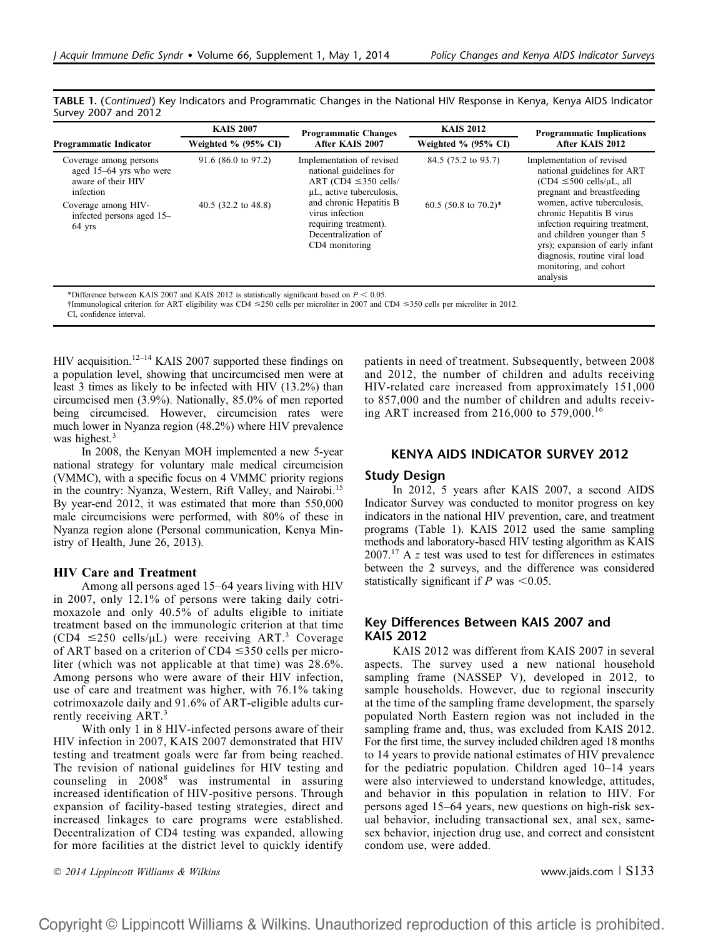| TABLE 1. (Continued) Key Indicators and Programmatic Changes in the National HIV Response in Kenya, Kenya AIDS Indicator |  |  |  |  |
|--------------------------------------------------------------------------------------------------------------------------|--|--|--|--|
| Survey 2007 and 2012                                                                                                     |  |  |  |  |

|                                                                                                                                                      | <b>KAIS 2007</b>                                                | <b>Programmatic Changes</b>                                                                                                                                                                                                    | <b>KAIS 2012</b>                               | <b>Programmatic Implications</b><br>After KAIS 2012                                                                                                                                                                                                                                                                                                                  |  |
|------------------------------------------------------------------------------------------------------------------------------------------------------|-----------------------------------------------------------------|--------------------------------------------------------------------------------------------------------------------------------------------------------------------------------------------------------------------------------|------------------------------------------------|----------------------------------------------------------------------------------------------------------------------------------------------------------------------------------------------------------------------------------------------------------------------------------------------------------------------------------------------------------------------|--|
| Programmatic Indicator                                                                                                                               | Weighted $\%$ (95% CI)                                          | After KAIS 2007                                                                                                                                                                                                                | Weighted $\%$ (95% CI)                         |                                                                                                                                                                                                                                                                                                                                                                      |  |
| Coverage among persons<br>aged 15–64 yrs who were<br>aware of their HIV<br>infection<br>Coverage among HIV-<br>infected persons aged 15-<br>$64$ yrs | $91.6(86.0 \text{ to } 97.2)$<br>40.5 $(32.2 \text{ to } 48.8)$ | Implementation of revised<br>national guidelines for<br>ART (CD4 $\leq$ 350 cells/<br>µL, active tuberculosis,<br>and chronic Hepatitis B<br>virus infection<br>requiring treatment).<br>Decentralization of<br>CD4 monitoring | 84.5 (75.2 to 93.7)<br>60.5 (50.8 to $70.2$ )* | Implementation of revised<br>national guidelines for ART<br>$(CD4 \leq 500$ cells/ $\mu$ L, all<br>pregnant and breastfeeding<br>women, active tuberculosis,<br>chronic Hepatitis B virus<br>infection requiring treatment,<br>and children younger than 5<br>yrs); expansion of early infant<br>diagnosis, routine viral load<br>monitoring, and cohort<br>analysis |  |

\*Difference between KAIS 2007 and KAIS 2012 is statistically significant based on  $P < 0.05$ .

†Immunological criterion for ART eligibility was CD4 #250 cells per microliter in 2007 and CD4 #350 cells per microliter in 2012.

CI, confidence interval.

HIV acquisition.<sup>12–14</sup> KAIS 2007 supported these findings on a population level, showing that uncircumcised men were at least 3 times as likely to be infected with HIV (13.2%) than circumcised men (3.9%). Nationally, 85.0% of men reported being circumcised. However, circumcision rates were much lower in Nyanza region (48.2%) where HIV prevalence was highest. $3$ 

In 2008, the Kenyan MOH implemented a new 5-year national strategy for voluntary male medical circumcision (VMMC), with a specific focus on 4 VMMC priority regions in the country: Nyanza, Western, Rift Valley, and Nairobi.<sup>15</sup> By year-end 2012, it was estimated that more than 550,000 male circumcisions were performed, with 80% of these in Nyanza region alone (Personal communication, Kenya Ministry of Health, June 26, 2013).

## HIV Care and Treatment

Among all persons aged 15–64 years living with HIV in 2007, only 12.1% of persons were taking daily cotrimoxazole and only 40.5% of adults eligible to initiate treatment based on the immunologic criterion at that time  $(CD4 \leq 250 \text{ cells/}\mu\text{L})$  were receiving ART.<sup>3</sup> Coverage of ART based on a criterion of CD4  $\leq$ 350 cells per microliter (which was not applicable at that time) was 28.6%. Among persons who were aware of their HIV infection, use of care and treatment was higher, with 76.1% taking cotrimoxazole daily and 91.6% of ART-eligible adults currently receiving ART.<sup>3</sup>

With only 1 in 8 HIV-infected persons aware of their HIV infection in 2007, KAIS 2007 demonstrated that HIV testing and treatment goals were far from being reached. The revision of national guidelines for HIV testing and counseling in  $2008<sup>8</sup>$  was instrumental in assuring increased identification of HIV-positive persons. Through expansion of facility-based testing strategies, direct and increased linkages to care programs were established. Decentralization of CD4 testing was expanded, allowing for more facilities at the district level to quickly identify patients in need of treatment. Subsequently, between 2008 and 2012, the number of children and adults receiving HIV-related care increased from approximately 151,000 to 857,000 and the number of children and adults receiving ART increased from 216,000 to  $579,000$ .<sup>16</sup>

## KENYA AIDS INDICATOR SURVEY 2012

## Study Design

In 2012, 5 years after KAIS 2007, a second AIDS Indicator Survey was conducted to monitor progress on key indicators in the national HIV prevention, care, and treatment programs (Table 1). KAIS 2012 used the same sampling methods and laboratory-based HIV testing algorithm as KAIS  $2007<sup>17</sup>$  A z test was used to test for differences in estimates between the 2 surveys, and the difference was considered statistically significant if P was  $< 0.05$ .

# Key Differences Between KAIS 2007 and KAIS 2012

KAIS 2012 was different from KAIS 2007 in several aspects. The survey used a new national household sampling frame (NASSEP V), developed in 2012, to sample households. However, due to regional insecurity at the time of the sampling frame development, the sparsely populated North Eastern region was not included in the sampling frame and, thus, was excluded from KAIS 2012. For the first time, the survey included children aged 18 months to 14 years to provide national estimates of HIV prevalence for the pediatric population. Children aged 10–14 years were also interviewed to understand knowledge, attitudes, and behavior in this population in relation to HIV. For persons aged 15–64 years, new questions on high-risk sexual behavior, including transactional sex, anal sex, samesex behavior, injection drug use, and correct and consistent condom use, were added.

© 2014 Lippincott Williams & Wilkins www.jaids.com  $\vert$  S133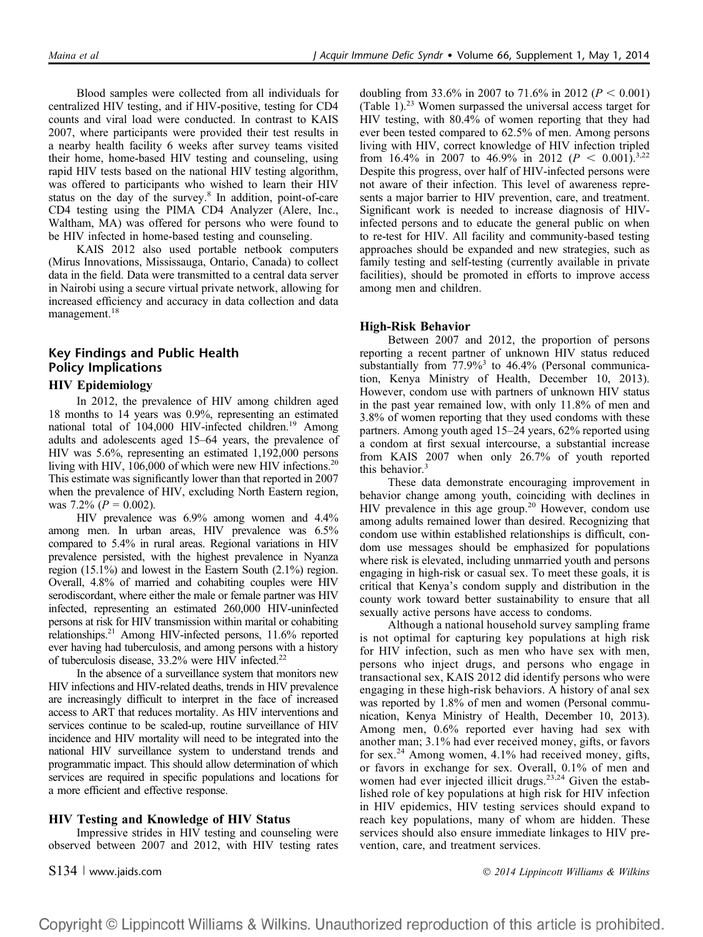Blood samples were collected from all individuals for centralized HIV testing, and if HIV-positive, testing for CD4 counts and viral load were conducted. In contrast to KAIS 2007, where participants were provided their test results in a nearby health facility 6 weeks after survey teams visited their home, home-based HIV testing and counseling, using rapid HIV tests based on the national HIV testing algorithm, was offered to participants who wished to learn their HIV status on the day of the survey.<sup>8</sup> In addition, point-of-care CD4 testing using the PIMA CD4 Analyzer (Alere, Inc., Waltham, MA) was offered for persons who were found to be HIV infected in home-based testing and counseling.

KAIS 2012 also used portable netbook computers (Mirus Innovations, Mississauga, Ontario, Canada) to collect data in the field. Data were transmitted to a central data server in Nairobi using a secure virtual private network, allowing for increased efficiency and accuracy in data collection and data management.<sup>18</sup>

# Key Findings and Public Health Policy Implications

# HIV Epidemiology

In 2012, the prevalence of HIV among children aged 18 months to 14 years was 0.9%, representing an estimated national total of  $104,000$  HIV-infected children.<sup>19</sup> Among adults and adolescents aged 15–64 years, the prevalence of HIV was 5.6%, representing an estimated 1,192,000 persons living with HIV, 106,000 of which were new HIV infections.<sup>20</sup> This estimate was significantly lower than that reported in 2007 when the prevalence of HIV, excluding North Eastern region, was 7.2% ( $P = 0.002$ ).

HIV prevalence was 6.9% among women and 4.4% among men. In urban areas, HIV prevalence was 6.5% compared to 5.4% in rural areas. Regional variations in HIV prevalence persisted, with the highest prevalence in Nyanza region (15.1%) and lowest in the Eastern South (2.1%) region. Overall, 4.8% of married and cohabiting couples were HIV serodiscordant, where either the male or female partner was HIV infected, representing an estimated 260,000 HIV-uninfected persons at risk for HIV transmission within marital or cohabiting relationships.21 Among HIV-infected persons, 11.6% reported ever having had tuberculosis, and among persons with a history of tuberculosis disease, 33.2% were HIV infected.<sup>22</sup>

In the absence of a surveillance system that monitors new HIV infections and HIV-related deaths, trends in HIV prevalence are increasingly difficult to interpret in the face of increased access to ART that reduces mortality. As HIV interventions and services continue to be scaled-up, routine surveillance of HIV incidence and HIV mortality will need to be integrated into the national HIV surveillance system to understand trends and programmatic impact. This should allow determination of which services are required in specific populations and locations for a more efficient and effective response.

# HIV Testing and Knowledge of HIV Status

Impressive strides in HIV testing and counseling were observed between 2007 and 2012, with HIV testing rates

doubling from 33.6% in 2007 to 71.6% in 2012 ( $P < 0.001$ ) (Table 1). $^{23}$  Women surpassed the universal access target for HIV testing, with 80.4% of women reporting that they had ever been tested compared to 62.5% of men. Among persons living with HIV, correct knowledge of HIV infection tripled from 16.4% in 2007 to 46.9% in 2012 ( $P < 0.001$ ).<sup>3,22</sup> Despite this progress, over half of HIV-infected persons were not aware of their infection. This level of awareness represents a major barrier to HIV prevention, care, and treatment. Significant work is needed to increase diagnosis of HIVinfected persons and to educate the general public on when to re-test for HIV. All facility and community-based testing approaches should be expanded and new strategies, such as family testing and self-testing (currently available in private facilities), should be promoted in efforts to improve access among men and children.

# High-Risk Behavior

Between 2007 and 2012, the proportion of persons reporting a recent partner of unknown HIV status reduced substantially from  $77.9\%$ <sup>3</sup> to 46.4% (Personal communication, Kenya Ministry of Health, December 10, 2013). However, condom use with partners of unknown HIV status in the past year remained low, with only 11.8% of men and 3.8% of women reporting that they used condoms with these partners. Among youth aged 15–24 years, 62% reported using a condom at first sexual intercourse, a substantial increase from KAIS 2007 when only 26.7% of youth reported this behavior.<sup>3</sup>

These data demonstrate encouraging improvement in behavior change among youth, coinciding with declines in HIV prevalence in this age group.<sup>20</sup> However, condom use among adults remained lower than desired. Recognizing that condom use within established relationships is difficult, condom use messages should be emphasized for populations where risk is elevated, including unmarried youth and persons engaging in high-risk or casual sex. To meet these goals, it is critical that Kenya's condom supply and distribution in the county work toward better sustainability to ensure that all sexually active persons have access to condoms.

Although a national household survey sampling frame is not optimal for capturing key populations at high risk for HIV infection, such as men who have sex with men, persons who inject drugs, and persons who engage in transactional sex, KAIS 2012 did identify persons who were engaging in these high-risk behaviors. A history of anal sex was reported by 1.8% of men and women (Personal communication, Kenya Ministry of Health, December 10, 2013). Among men, 0.6% reported ever having had sex with another man; 3.1% had ever received money, gifts, or favors for sex.<sup>24</sup> Among women, 4.1% had received money, gifts, or favors in exchange for sex. Overall, 0.1% of men and women had ever injected illicit drugs.<sup>23,24</sup> Given the established role of key populations at high risk for HIV infection in HIV epidemics, HIV testing services should expand to reach key populations, many of whom are hidden. These services should also ensure immediate linkages to HIV prevention, care, and treatment services.

S134 <sup>|</sup> www.jaids.com 2014 Lippincott Williams & Wilkins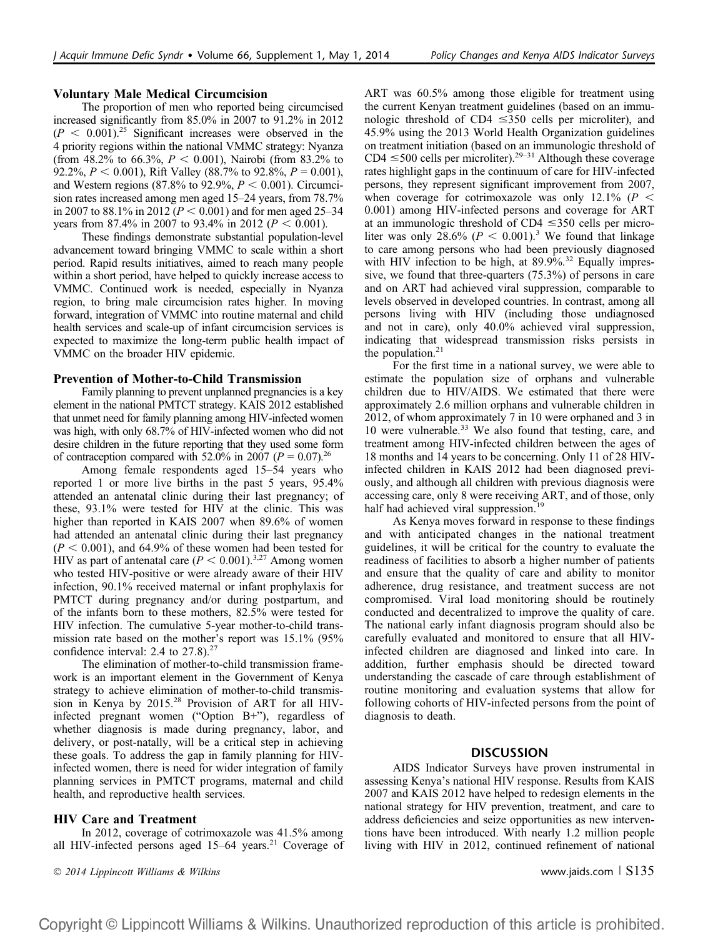## Voluntary Male Medical Circumcision

The proportion of men who reported being circumcised increased significantly from 85.0% in 2007 to 91.2% in 2012  $(P < 0.001)^{25}$  Significant increases were observed in the 4 priority regions within the national VMMC strategy: Nyanza (from 48.2% to 66.3%,  $P < 0.001$ ), Nairobi (from 83.2% to 92.2%,  $P < 0.001$ ), Rift Valley (88.7% to 92.8%,  $P = 0.001$ ), and Western regions (87.8% to 92.9%,  $P < 0.001$ ). Circumcision rates increased among men aged 15–24 years, from 78.7% in 2007 to 88.1% in 2012 ( $P < 0.001$ ) and for men aged 25–34 years from 87.4% in 2007 to 93.4% in 2012 ( $P < 0.001$ ).

These findings demonstrate substantial population-level advancement toward bringing VMMC to scale within a short period. Rapid results initiatives, aimed to reach many people within a short period, have helped to quickly increase access to VMMC. Continued work is needed, especially in Nyanza region, to bring male circumcision rates higher. In moving forward, integration of VMMC into routine maternal and child health services and scale-up of infant circumcision services is expected to maximize the long-term public health impact of VMMC on the broader HIV epidemic.

## Prevention of Mother-to-Child Transmission

Family planning to prevent unplanned pregnancies is a key element in the national PMTCT strategy. KAIS 2012 established that unmet need for family planning among HIV-infected women was high, with only 68.7% of HIV-infected women who did not desire children in the future reporting that they used some form of contraception compared with 52.0% in 2007 ( $P = 0.07$ ).<sup>26</sup>

Among female respondents aged 15–54 years who reported 1 or more live births in the past 5 years, 95.4% attended an antenatal clinic during their last pregnancy; of these, 93.1% were tested for HIV at the clinic. This was higher than reported in KAIS 2007 when 89.6% of women had attended an antenatal clinic during their last pregnancy  $(P < 0.001)$ , and 64.9% of these women had been tested for HIV as part of antenatal care  $(P < 0.001)$ .<sup>3,27</sup> Among women who tested HIV-positive or were already aware of their HIV infection, 90.1% received maternal or infant prophylaxis for PMTCT during pregnancy and/or during postpartum, and of the infants born to these mothers, 82.5% were tested for HIV infection. The cumulative 5-year mother-to-child transmission rate based on the mother's report was 15.1% (95% confidence interval: 2.4 to  $27.8$ ).<sup>27</sup>

The elimination of mother-to-child transmission framework is an important element in the Government of Kenya strategy to achieve elimination of mother-to-child transmission in Kenya by 2015.<sup>28</sup> Provision of ART for all HIVinfected pregnant women ("Option B+"), regardless of whether diagnosis is made during pregnancy, labor, and delivery, or post-natally, will be a critical step in achieving these goals. To address the gap in family planning for HIVinfected women, there is need for wider integration of family planning services in PMTCT programs, maternal and child health, and reproductive health services.

## HIV Care and Treatment

In 2012, coverage of cotrimoxazole was 41.5% among all HIV-infected persons aged  $15-64$  years.<sup>21</sup> Coverage of

 $\degree$  2014 Lippincott Williams & Wilkins www.jaids.com  $\degree$  S135

ART was 60.5% among those eligible for treatment using the current Kenyan treatment guidelines (based on an immunologic threshold of CD4  $\leq$ 350 cells per microliter), and 45.9% using the 2013 World Health Organization guidelines on treatment initiation (based on an immunologic threshold of CD4  $\leq$ 500 cells per microliter).<sup>29–31</sup> Although these coverage rates highlight gaps in the continuum of care for HIV-infected persons, they represent significant improvement from 2007, when coverage for cotrimoxazole was only 12.1% ( $P$  < 0.001) among HIV-infected persons and coverage for ART at an immunologic threshold of CD4  $\leq$ 350 cells per microliter was only 28.6% ( $P < 0.001$ ).<sup>3</sup> We found that linkage to care among persons who had been previously diagnosed with HIV infection to be high, at 89.9%.<sup>32</sup> Equally impressive, we found that three-quarters (75.3%) of persons in care and on ART had achieved viral suppression, comparable to levels observed in developed countries. In contrast, among all persons living with HIV (including those undiagnosed and not in care), only 40.0% achieved viral suppression, indicating that widespread transmission risks persists in the population. $21$ 

For the first time in a national survey, we were able to estimate the population size of orphans and vulnerable children due to HIV/AIDS. We estimated that there were approximately 2.6 million orphans and vulnerable children in 2012, of whom approximately 7 in 10 were orphaned and 3 in 10 were vulnerable.<sup>33</sup> We also found that testing, care, and treatment among HIV-infected children between the ages of 18 months and 14 years to be concerning. Only 11 of 28 HIVinfected children in KAIS 2012 had been diagnosed previously, and although all children with previous diagnosis were accessing care, only 8 were receiving ART, and of those, only half had achieved viral suppression.<sup>19</sup>

As Kenya moves forward in response to these findings and with anticipated changes in the national treatment guidelines, it will be critical for the country to evaluate the readiness of facilities to absorb a higher number of patients and ensure that the quality of care and ability to monitor adherence, drug resistance, and treatment success are not compromised. Viral load monitoring should be routinely conducted and decentralized to improve the quality of care. The national early infant diagnosis program should also be carefully evaluated and monitored to ensure that all HIVinfected children are diagnosed and linked into care. In addition, further emphasis should be directed toward understanding the cascade of care through establishment of routine monitoring and evaluation systems that allow for following cohorts of HIV-infected persons from the point of diagnosis to death.

## **DISCUSSION**

AIDS Indicator Surveys have proven instrumental in assessing Kenya's national HIV response. Results from KAIS 2007 and KAIS 2012 have helped to redesign elements in the national strategy for HIV prevention, treatment, and care to address deficiencies and seize opportunities as new interventions have been introduced. With nearly 1.2 million people living with HIV in 2012, continued refinement of national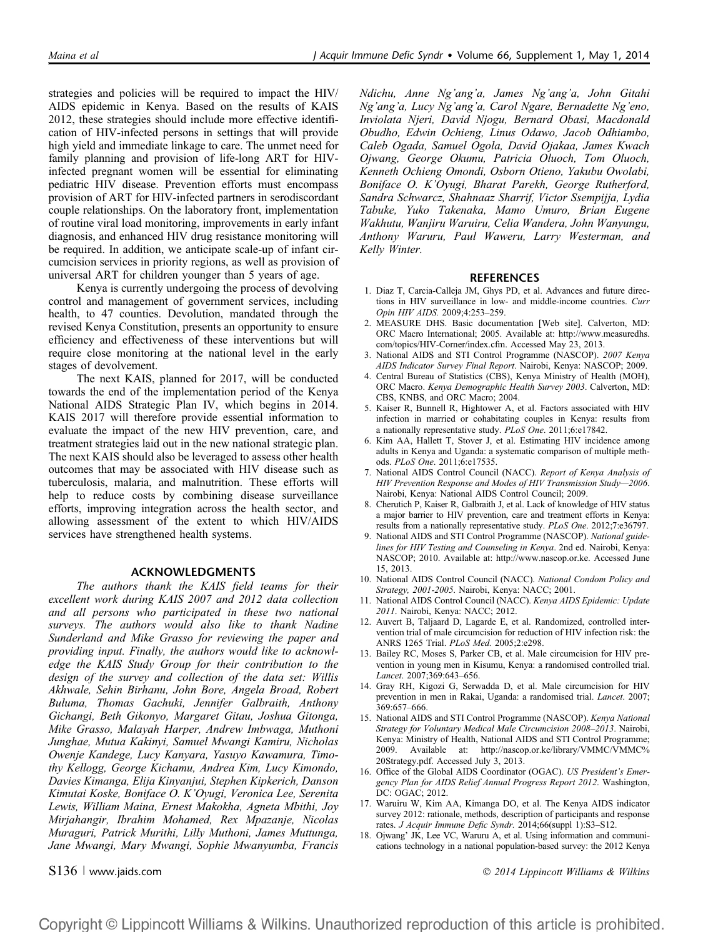strategies and policies will be required to impact the HIV/ AIDS epidemic in Kenya. Based on the results of KAIS 2012, these strategies should include more effective identification of HIV-infected persons in settings that will provide high yield and immediate linkage to care. The unmet need for family planning and provision of life-long ART for HIVinfected pregnant women will be essential for eliminating pediatric HIV disease. Prevention efforts must encompass provision of ART for HIV-infected partners in serodiscordant couple relationships. On the laboratory front, implementation of routine viral load monitoring, improvements in early infant diagnosis, and enhanced HIV drug resistance monitoring will be required. In addition, we anticipate scale-up of infant circumcision services in priority regions, as well as provision of universal ART for children younger than 5 years of age.

Kenya is currently undergoing the process of devolving control and management of government services, including health, to 47 counties. Devolution, mandated through the revised Kenya Constitution, presents an opportunity to ensure efficiency and effectiveness of these interventions but will require close monitoring at the national level in the early stages of devolvement.

The next KAIS, planned for 2017, will be conducted towards the end of the implementation period of the Kenya National AIDS Strategic Plan IV, which begins in 2014. KAIS 2017 will therefore provide essential information to evaluate the impact of the new HIV prevention, care, and treatment strategies laid out in the new national strategic plan. The next KAIS should also be leveraged to assess other health outcomes that may be associated with HIV disease such as tuberculosis, malaria, and malnutrition. These efforts will help to reduce costs by combining disease surveillance efforts, improving integration across the health sector, and allowing assessment of the extent to which HIV/AIDS services have strengthened health systems.

## ACKNOWLEDGMENTS

The authors thank the KAIS field teams for their excellent work during KAIS 2007 and 2012 data collection and all persons who participated in these two national surveys. The authors would also like to thank Nadine Sunderland and Mike Grasso for reviewing the paper and providing input. Finally, the authors would like to acknowledge the KAIS Study Group for their contribution to the design of the survey and collection of the data set: Willis Akhwale, Sehin Birhanu, John Bore, Angela Broad, Robert Buluma, Thomas Gachuki, Jennifer Galbraith, Anthony Gichangi, Beth Gikonyo, Margaret Gitau, Joshua Gitonga, Mike Grasso, Malayah Harper, Andrew Imbwaga, Muthoni Junghae, Mutua Kakinyi, Samuel Mwangi Kamiru, Nicholas Owenje Kandege, Lucy Kanyara, Yasuyo Kawamura, Timothy Kellogg, George Kichamu, Andrea Kim, Lucy Kimondo, Davies Kimanga, Elija Kinyanjui, Stephen Kipkerich, Danson Kimutai Koske, Boniface O. K'Oyugi, Veronica Lee, Serenita Lewis, William Maina, Ernest Makokha, Agneta Mbithi, Joy Mirjahangir, Ibrahim Mohamed, Rex Mpazanje, Nicolas Muraguri, Patrick Murithi, Lilly Muthoni, James Muttunga, Jane Mwangi, Mary Mwangi, Sophie Mwanyumba, Francis

Ndichu, Anne Ng'ang'a, James Ng'ang'a, John Gitahi Ng'ang'a, Lucy Ng'ang'a, Carol Ngare, Bernadette Ng'eno, Inviolata Njeri, David Njogu, Bernard Obasi, Macdonald Obudho, Edwin Ochieng, Linus Odawo, Jacob Odhiambo, Caleb Ogada, Samuel Ogola, David Ojakaa, James Kwach Ojwang, George Okumu, Patricia Oluoch, Tom Oluoch, Kenneth Ochieng Omondi, Osborn Otieno, Yakubu Owolabi, Boniface O. K'Oyugi, Bharat Parekh, George Rutherford, Sandra Schwarcz, Shahnaaz Sharrif, Victor Ssempijja, Lydia Tabuke, Yuko Takenaka, Mamo Umuro, Brian Eugene Wakhutu, Wanjiru Waruiru, Celia Wandera, John Wanyungu, Anthony Waruru, Paul Waweru, Larry Westerman, and Kelly Winter.

#### **REFERENCES**

- 1. Diaz T, Carcia-Calleja JM, Ghys PD, et al. Advances and future directions in HIV surveillance in low- and middle-income countries. Curr Opin HIV AIDS. 2009;4:253–259.
- 2. MEASURE DHS. Basic documentation [Web site]. Calverton, MD: ORC Macro International; 2005. Available at: http://www.measuredhs. com/topics/HIV-Corner/index.cfm. Accessed May 23, 2013.
- 3. National AIDS and STI Control Programme (NASCOP). 2007 Kenya AIDS Indicator Survey Final Report. Nairobi, Kenya: NASCOP; 2009.
- 4. Central Bureau of Statistics (CBS), Kenya Ministry of Health (MOH), ORC Macro. Kenya Demographic Health Survey 2003. Calverton, MD: CBS, KNBS, and ORC Macro; 2004.
- 5. Kaiser R, Bunnell R, Hightower A, et al. Factors associated with HIV infection in married or cohabitating couples in Kenya: results from a nationally representative study. PLoS One. 2011;6:e17842.
- 6. Kim AA, Hallett T, Stover J, et al. Estimating HIV incidence among adults in Kenya and Uganda: a systematic comparison of multiple methods. PLoS One. 2011;6:e17535.
- 7. National AIDS Control Council (NACC). Report of Kenya Analysis of HIV Prevention Response and Modes of HIV Transmission Study—2006. Nairobi, Kenya: National AIDS Control Council; 2009.
- 8. Cherutich P, Kaiser R, Galbraith J, et al. Lack of knowledge of HIV status a major barrier to HIV prevention, care and treatment efforts in Kenya: results from a nationally representative study. PLoS One. 2012;7:e36797.
- 9. National AIDS and STI Control Programme (NASCOP). National guidelines for HIV Testing and Counseling in Kenya. 2nd ed. Nairobi, Kenya: NASCOP; 2010. Available at: http://www.nascop.or.ke. Accessed June 15, 2013.
- 10. National AIDS Control Council (NACC). National Condom Policy and Strategy, 2001-2005. Nairobi, Kenya: NACC; 2001.
- 11. National AIDS Control Council (NACC). Kenya AIDS Epidemic: Update 2011. Nairobi, Kenya: NACC; 2012.
- 12. Auvert B, Taljaard D, Lagarde E, et al. Randomized, controlled intervention trial of male circumcision for reduction of HIV infection risk: the ANRS 1265 Trial. PLoS Med. 2005;2:e298.
- 13. Bailey RC, Moses S, Parker CB, et al. Male circumcision for HIV prevention in young men in Kisumu, Kenya: a randomised controlled trial. Lancet. 2007;369:643–656.
- 14. Gray RH, Kigozi G, Serwadda D, et al. Male circumcision for HIV prevention in men in Rakai, Uganda: a randomised trial. Lancet. 2007; 369:657–666.
- 15. National AIDS and STI Control Programme (NASCOP). Kenya National Strategy for Voluntary Medical Male Circumcision 2008–2013. Nairobi, Kenya: Ministry of Health, National AIDS and STI Control Programme; 2009. Available at: http://nascop.or.ke/library/VMMC/VMMC% 20Strategy.pdf. Accessed July 3, 2013.
- 16. Office of the Global AIDS Coordinator (OGAC). US President's Emergency Plan for AIDS Relief Annual Progress Report 2012. Washington, DC: OGAC; 2012.
- 17. Waruiru W, Kim AA, Kimanga DO, et al. The Kenya AIDS indicator survey 2012: rationale, methods, description of participants and response rates. J Acquir Immune Defic Syndr. 2014;66(suppl 1):S3–S12.
- 18. Ojwang' JK, Lee VC, Waruru A, et al. Using information and communications technology in a national population-based survey: the 2012 Kenya

S136 <sup>|</sup> www.jaids.com 2014 Lippincott Williams & Wilkins